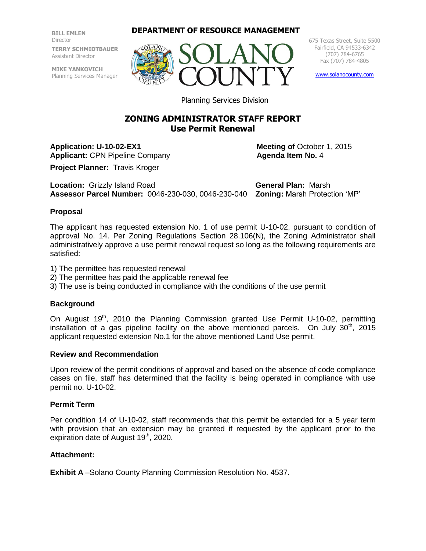**BILL EMLEN** Director **TERRY SCHMIDTBAUER** Assistant Director

**MIKE YANKOVICH** Planning Services Manager

## **DEPARTMENT OF RESOURCE MANAGEMENT**



675 Texas Street, Suite 5500 Fairfield, CA 94533-6342 (707) 784-6765 Fax (707) 784-4805

[www.solanocounty.com](http://www.solanocounty.com/)

Planning Services Division

# **ZONING ADMINISTRATOR STAFF REPORT Use Permit Renewal**

**Application: U-10-02-EX1** Meeting of October 1, 2015 **Applicant: CPN Pipeline Company <b>Agenda Item No.** 4

**Project Planner:** Travis Kroger

**Location:** Grizzly Island Road **General Plan:** Marsh **Assessor Parcel Number:** 0046-230-030, 0046-230-040 **Zoning:** Marsh Protection 'MP'

## **Proposal**

The applicant has requested extension No. 1 of use permit U-10-02, pursuant to condition of approval No. 14. Per Zoning Regulations Section 28.106(N), the Zoning Administrator shall administratively approve a use permit renewal request so long as the following requirements are satisfied:

- 1) The permittee has requested renewal
- 2) The permittee has paid the applicable renewal fee
- 3) The use is being conducted in compliance with the conditions of the use permit

### **Background**

On August  $19<sup>th</sup>$ , 2010 the Planning Commission granted Use Permit U-10-02, permitting installation of a gas pipeline facility on the above mentioned parcels. On July  $30<sup>th</sup>$ , 2015 applicant requested extension No.1 for the above mentioned Land Use permit.

#### **Review and Recommendation**

Upon review of the permit conditions of approval and based on the absence of code compliance cases on file, staff has determined that the facility is being operated in compliance with use permit no. U-10-02.

### **Permit Term**

Per condition 14 of U-10-02, staff recommends that this permit be extended for a 5 year term with provision that an extension may be granted if requested by the applicant prior to the expiration date of August  $19<sup>th</sup>$ , 2020.

### **Attachment:**

**Exhibit A** –Solano County Planning Commission Resolution No. 4537.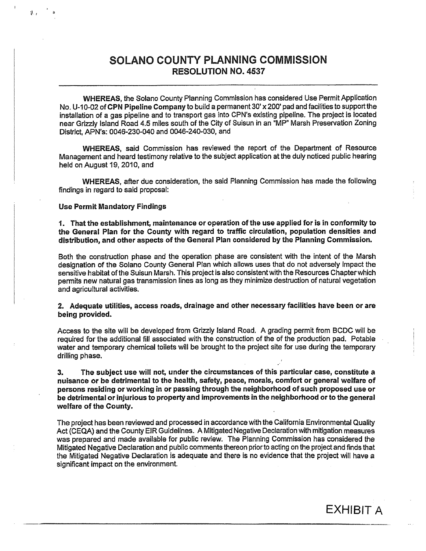# SOLANO COUNTY PLANNING COMMISSION **RESOLUTION NO. 4537**

WHEREAS, the Solano County Planning Commission has considered Use Permit Application No. U-10-02 of CPN Pipeline Company to build a permanent 30' x 200' pad and facilities to support the installation of a gas pipeline and to transport gas into CPN's existing pipeline. The project is located near Grizzly Island Road 4.5 miles south of the City of Suisun in an "MP" Marsh Preservation Zoning District, APN's: 0046-230-040 and 0046-240-030, and

WHEREAS, said Commission has reviewed the report of the Department of Resource Management and heard testimony relative to the subject application at the duly noticed public hearing held on August 19, 2010, and

WHEREAS, after due consideration, the said Planning Commission has made the following findings in regard to said proposal:

#### **Use Permit Mandatory Findings**

1. That the establishment, maintenance or operation of the use applied for is in conformity to the General Plan for the County with regard to traffic circulation, population densities and distribution, and other aspects of the General Plan considered by the Planning Commission.

Both the construction phase and the operation phase are consistent with the intent of the Marsh designation of the Solano County General Plan which allows uses that do not adversely impact the sensitive habitat of the Suisun Marsh. This project is also consistent with the Resources Chapter which permits new natural gas transmission lines as long as they minimize destruction of natural vegetation and agricultural activities.

2. Adequate utilities, access roads, drainage and other necessary facilities have been or are being provided.

Access to the site will be developed from Grizzly Island Road. A grading permit from BCDC will be required for the additional fill associated with the construction of the of the production pad. Potable water and temporary chemical toilets will be brought to the project site for use during the temporary drilling phase.

The subject use will not, under the circumstances of this particular case, constitute a  $3.$ nuisance or be detrimental to the health, safety, peace, morals, comfort or general welfare of persons residing or working in or passing through the neighborhood of such proposed use or be detrimental or injurious to property and improvements in the neighborhood or to the general welfare of the County.

The project has been reviewed and processed in accordance with the California Environmental Quality Act (CEQA) and the County EIR Guidelines. A Mitigated Negative Declaration with mitigation measures was prepared and made available for public review. The Planning Commission has considered the Mitigated Negative Declaration and public comments thereon prior to acting on the project and finds that the Mitigated Negative Declaration is adequate and there is no evidence that the project will have a significant impact on the environment.

**EXHIBIT A**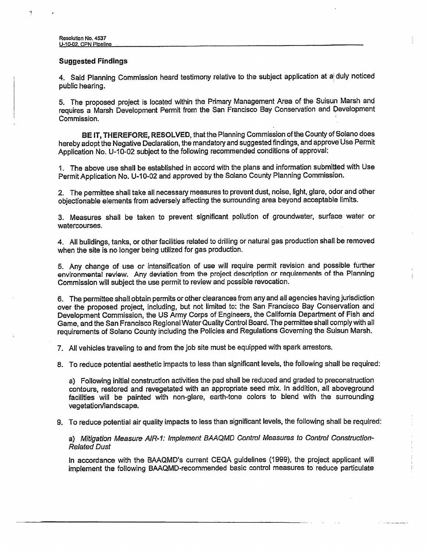### **Suggested Findings**

4. Said Planning Commission heard testimony relative to the subject application at a duly noticed public hearing.

5. The proposed project is located within the Primary Management Area of the Suisun Marsh and requires a Marsh Development Permit from the San Francisco Bay Conservation and Development Commission.

BE IT, THEREFORE, RESOLVED, that the Planning Commission of the County of Solano does hereby adopt the Negative Declaration, the mandatory and suggested findings, and approve Use Permit Application No. U-10-02 subject to the following recommended conditions of approval:

1. The above use shall be established in accord with the plans and information submitted with Use Permit Application No. U-10-02 and approved by the Solano County Planning Commission.

2. The permittee shall take all necessary measures to prevent dust, noise, light, glare, odor and other objectionable elements from adversely affecting the surrounding area beyond acceptable limits.

3. Measures shall be taken to prevent significant pollution of groundwater, surface water or watercourses.

4. All buildings, tanks, or other facilities related to drilling or natural gas production shall be removed when the site is no longer being utilized for gas production.

5. Any change of use or intensification of use will require permit revision and possible further environmental review. Any deviation from the project description or requirements of the Planning Commission will subject the use permit to review and possible revocation.

6. The permittee shall obtain permits or other clearances from any and all agencies having jurisdiction over the proposed project, including, but not limited to: the San Francisco Bay Conservation and Development Commission, the US Army Corps of Engineers, the California Department of Fish and Game, and the San Francisco Regional Water Quality Control Board. The permittee shall comply with all requirements of Solano County including the Policies and Regulations Governing the Suisun Marsh.

7. All vehicles traveling to and from the job site must be equipped with spark arrestors.

8. To reduce potential aesthetic impacts to less than significant levels, the following shall be required:

a) Following initial construction activities the pad shall be reduced and graded to preconstruction contours, restored and revegetated with an appropriate seed mix. In addition, all aboveground facilities will be painted with non-glare, earth-tone colors to blend with the surrounding vegetation/landscape.

9. To reduce potential air quality impacts to less than significant levels, the following shall be required:

a) Mitigation Measure AIR-1: Implement BAAQMD Control Measures to Control Construction-**Related Dust** 

In accordance with the BAAQMD's current CEQA guidelines (1999), the project applicant will implement the following BAAQMD-recommended basic control measures to reduce particulate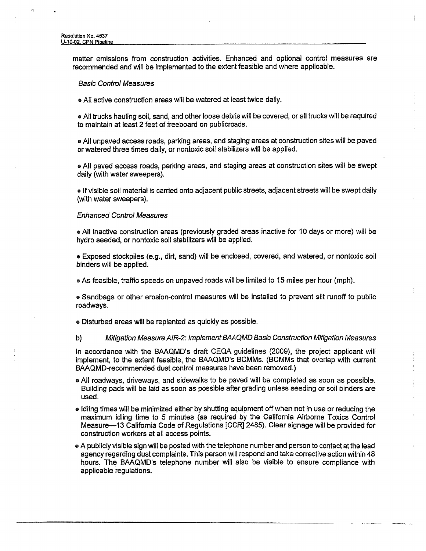4

matter emissions from construction activities. Enhanced and optional control measures are recommended and will be implemented to the extent feasible and where applicable.

#### **Basic Control Measures**

. All active construction areas will be watered at least twice daily.

. All trucks hauling soil, sand, and other loose debris will be covered, or all trucks will be required to maintain at least 2 feet of freeboard on publicroads.

• All unpaved access roads, parking areas, and staging areas at construction sites will be paved or watered three times daily, or nontoxic soil stabilizers will be applied.

. All paved access roads, parking areas, and staging areas at construction sites will be swept daily (with water sweepers).

• If visible soil material is carried onto adjacent public streets, adjacent streets will be swept daily (with water sweepers).

#### **Enhanced Control Measures**

• All inactive construction areas (previously graded areas inactive for 10 days or more) will be hydro seeded, or nontoxic soil stabilizers will be applied.

· Exposed stockpiles (e.g., dirt, sand) will be enclosed, covered, and watered, or nontoxic soil binders will be applied.

• As feasible, traffic speeds on unpaved roads will be limited to 15 miles per hour (mph).

• Sandbags or other erosion-control measures will be installed to prevent silt runoff to public roadways.

· Disturbed areas will be replanted as quickly as possible.

#### b) Mitigation Measure AIR-2: Implement BAAQMD Basic Construction Mitigation Measures

In accordance with the BAAQMD's draft CEQA guidelines (2009), the project applicant will implement, to the extent feasible, the BAAQMD's BCMMs. (BCMMs that overlap with current BAAQMD-recommended dust control measures have been removed.)

- All roadways, driveways, and sidewalks to be paved will be completed as soon as possible. Building pads will be laid as soon as possible after grading unless seeding or soil binders are used.
- I dling times will be minimized either by shutting equipment off when not in use or reducing the maximum idling time to 5 minutes (as required by the California Airborne Toxics Control Measure-13 California Code of Regulations [CCR] 2485). Clear signage will be provided for construction workers at all access points.
- A publicly visible sign will be posted with the telephone number and person to contact at the lead agency regarding dust complaints. This person will respond and take corrective action within 48 hours. The BAAQMD's telephone number will also be visible to ensure compliance with applicable regulations.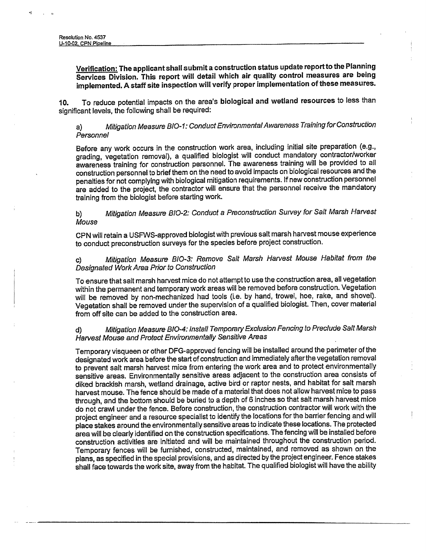Verification: The applicant shall submit a construction status update report to the Planning Services Division. This report will detail which air quality control measures are being implemented. A staff site inspection will verify proper implementation of these measures.

To reduce potential impacts on the area's biological and wetland resources to less than  $10.$ significant levels, the following shall be required:

Mitigation Measure BIO-1: Conduct Environmental Awareness Training for Construction a) Personnel

Before any work occurs in the construction work area, including initial site preparation (e.g., grading, vegetation removal), a qualified biologist will conduct mandatory contractor/worker awareness training for construction personnel. The awareness training will be provided to all construction personnel to brief them on the need to avoid impacts on biological resources and the penalties for not complying with biological mitigation requirements. If new construction personnel are added to the project, the contractor will ensure that the personnel receive the mandatory training from the biologist before starting work.

Mitigation Measure BIO-2: Conduct a Preconstruction Survey for Salt Marsh Harvest b) Mouse

CPN will retain a USFWS-approved biologist with previous salt marsh harvest mouse experience to conduct preconstruction surveys for the species before project construction.

Mitigation Measure BIO-3: Remove Salt Marsh Harvest Mouse Habitat from the Designated Work Area Prior to Construction

To ensure that salt marsh harvest mice do not attempt to use the construction area, all vegetation within the permanent and temporary work areas will be removed before construction. Vegetation will be removed by non-mechanized had tools (i.e. by hand, trowel, hoe, rake, and shovel). Vegetation shall be removed under the supervision of a qualified biologist. Then, cover material from off site can be added to the construction area.

#### Mitigation Measure BIO-4: Install Temporary Exclusion Fencing to Preclude Salt Marsh d) Harvest Mouse and Protect Environmentally Sensitive Areas

Temporary visqueen or other DFG-approved fencing will be installed around the perimeter of the designated work area before the start of construction and immediately after the vegetation removal to prevent salt marsh harvest mice from entering the work area and to protect environmentally sensitive areas. Environmentally sensitive areas adjacent to the construction area consists of diked brackish marsh, wetland drainage, active bird or raptor nests, and habitat for salt marsh harvest mouse. The fence should be made of a material that does not allow harvest mice to pass through, and the bottom should be buried to a depth of 6 inches so that salt marsh harvest mice do not crawl under the fence. Before construction, the construction contractor will work with the project engineer and a resource specialist to identify the locations for the barrier fencing and will place stakes around the environmentally sensitive areas to indicate these locations. The protected area will be clearly identified on the construction specifications. The fencing will be installed before construction activities are initiated and will be maintained throughout the construction period. Temporary fences will be furnished, constructed, maintained, and removed as shown on the plans, as specified in the special provisions, and as directed by the project engineer. Fence stakes shall face towards the work site, away from the habitat. The qualified biologist will have the ability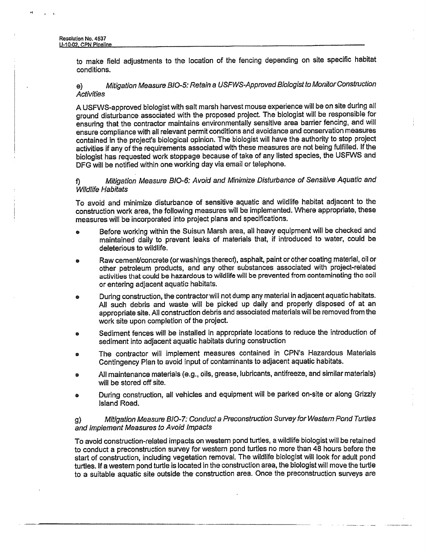to make field adjustments to the location of the fencing depending on site specific habitat conditions.

#### Mitigation Measure BIO-5: Retain a USFWS-Approved Biologist to Monitor Construction  $e)$ **Activities**

A USFWS-approved biologist with salt marsh harvest mouse experience will be on site during all ground disturbance associated with the proposed project. The biologist will be responsible for ensuring that the contractor maintains environmentally sensitive area barrier fencing, and will ensure compliance with all relevant permit conditions and avoidance and conservation measures contained in the project's biological opinion. The biologist will have the authority to stop project activities if any of the requirements associated with these measures are not being fulfilled. If the biologist has requested work stoppage because of take of any listed species, the USFWS and DFG will be notified within one working day via email or telephone.

#### Mitigation Measure BIO-6: Avoid and Minimize Disturbance of Sensitive Aquatic and f) **Wildlife Habitats**

To avoid and minimize disturbance of sensitive aquatic and wildlife habitat adjacent to the construction work area, the following measures will be implemented. Where appropriate, these measures will be incorporated into project plans and specifications.

- Before working within the Suisun Marsh area, all heavy equipment will be checked and ø maintained daily to prevent leaks of materials that, if introduced to water, could be deleterious to wildlife.
- Raw cement/concrete (or washings thereof), asphalt, paint or other coating material, oil or other petroleum products, and any other substances associated with project-related activities that could be hazardous to wildlife will be prevented from contaminating the soil or entering adjacent aquatic habitats.
- During construction, the contractor will not dump any material in adjacent aquatic habitats. ė All such debris and waste will be picked up daily and properly disposed of at an appropriate site. All construction debris and associated materials will be removed from the work site upon completion of the project.
- Sediment fences will be installed in appropriate locations to reduce the introduction of  $\bullet$ sediment into adjacent aquatic habitats during construction
- The contractor will implement measures contained in CPN's Hazardous Materials Contingency Plan to avoid input of contaminants to adjacent aquatic habitats.
- All maintenance materials (e.g., oils, grease, lubricants, antifreeze, and similar materials) will be stored off site.
- During construction, all vehicles and equipment will be parked on-site or along Grizzly Island Road.

#### Mitigation Measure BIO-7: Conduct a Preconstruction Survey for Western Pond Turtles  $\mathbf{g}$ and Implement Measures to Avoid Impacts

To avoid construction-related impacts on western pond turtles, a wildlife biologist will be retained to conduct a preconstruction survey for western pond turtles no more than 48 hours before the start of construction, including vegetation removal. The wildlife biologist will look for adult pond turtles. If a western pond turtle is located in the construction area, the biologist will move the turtle to a suitable aquatic site outside the construction area. Once the preconstruction surveys are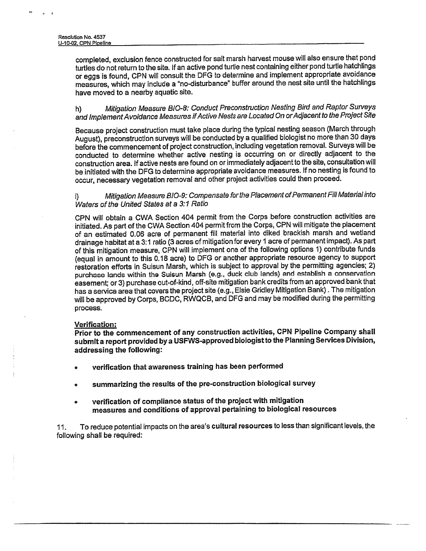completed, exclusion fence constructed for salt marsh harvest mouse will also ensure that pond turtles do not return to the site. If an active pond turtle nest containing either pond turtle hatchlings or eggs is found, CPN will consult the DFG to determine and implement appropriate avoidance measures, which may include a "no-disturbance" buffer around the nest site until the hatchlings have moved to a nearby aquatic site.

Mitigation Measure BIO-8: Conduct Preconstruction Nesting Bird and Raptor Surveys h) and Implement Avoidance Measures if Active Nests are Located On or Adjacent to the Project Site

Because project construction must take place during the typical nesting season (March through August), preconstruction surveys will be conducted by a qualified biologist no more than 30 days before the commencement of project construction, including vegetation removal. Surveys will be conducted to determine whether active nesting is occurring on or directly adjacent to the construction area. If active nests are found on or immediately adjacent to the site, consultation will be initiated with the DFG to determine appropriate avoidance measures. If no nesting is found to occur, necessary vegetation removal and other project activities could then proceed.

Mitigation Measure BIO-9: Compensate for the Placement of Permanent Fill Material into j) Waters of the United States at a 3:1 Ratio

CPN will obtain a CWA Section 404 permit from the Corps before construction activities are initiated. As part of the CWA Section 404 permit from the Corps, CPN will mitigate the placement of an estimated 0.06 acre of permanent fill material into diked brackish marsh and wetland drainage habitat at a 3:1 ratio (3 acres of mitigation for every 1 acre of permanent impact). As part of this mitigation measure, CPN will implement one of the following options 1) contribute funds (equal in amount to this 0.18 acre) to DFG or another appropriate resource agency to support restoration efforts in Suisun Marsh, which is subject to approval by the permitting agencies; 2) purchase lands within the Suisun Marsh (e.g., duck club lands) and establish a conservation easement; or 3) purchase out-of-kind, off-site mitigation bank credits from an approved bank that has a service area that covers the project site (e.g., Elsie Gridley Mitigation Bank). The mitigation will be approved by Corps, BCDC, RWQCB, and DFG and may be modified during the permitting process.

#### Verification:

Prior to the commencement of any construction activities, CPN Pipeline Company shall submit a report provided by a USFWS-approved biologist to the Planning Services Division. addressing the following:

- verification that awareness training has been performed  $\bullet$
- summarizing the results of the pre-construction biological survey
- verification of compliance status of the project with mitigation measures and conditions of approval pertaining to biological resources

To reduce potential impacts on the area's cultural resources to less than significant levels, the 11. following shall be required: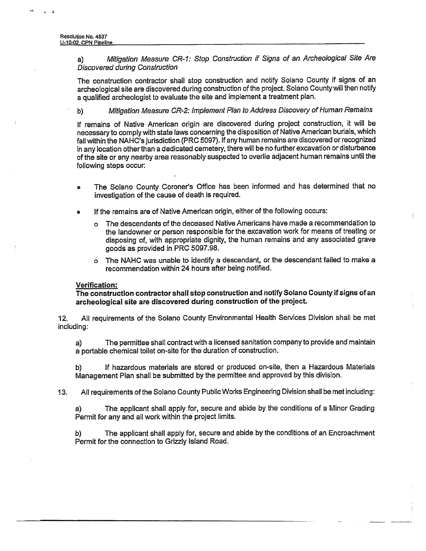Mitigation Measure CR-1: Stop Construction if Signs of an Archeological Site Are a) **Discovered during Construction** 

The construction contractor shall stop construction and notify Solano County if signs of an archeological site are discovered during construction of the project. Solano County will then notify a qualified archeologist to evaluate the site and implement a treatment plan.

Mitigation Measure CR-2: Implement Plan to Address Discovery of Human Remains b)

If remains of Native American origin are discovered during project construction, it will be necessary to comply with state laws concerning the disposition of Native American burials, which fall within the NAHC's jurisdiction (PRC 5097). If any human remains are discovered or recognized in any location other than a dedicated cemetery, there will be no further excavation or disturbance of the site or any nearby area reasonably suspected to overlie adjacent human remains until the following steps occur:

- The Solano County Coroner's Office has been informed and has determined that no investigation of the cause of death is required.
- If the remains are of Native American origin, either of the following occurs:
	- The descendants of the deceased Native Americans have made a recommendation to  $\Omega$ the landowner or person responsible for the excavation work for means of treating or disposing of, with appropriate dignity, the human remains and any associated grave goods as provided in PRC 5097.98.
	- o The NAHC was unable to identify a descendant, or the descendant failed to make a recommendation within 24 hours after being notified.

#### Verification:

The construction contractor shall stop construction and notify Solano County if signs of an archeological site are discovered during construction of the project.

All requirements of the Solano County Environmental Health Services Division shall be met  $12.$ including:

The permittee shall contract with a licensed sanitation company to provide and maintain  $a)$ a portable chemical toilet on-site for the duration of construction.

If hazardous materials are stored or produced on-site, then a Hazardous Materials b) Management Plan shall be submitted by the permittee and approved by this division.

All requirements of the Solano County Public Works Engineering Division shall be met including:  $13.$ 

The applicant shall apply for, secure and abide by the conditions of a Minor Grading a) Permit for any and all work within the project limits.

The applicant shall apply for, secure and abide by the conditions of an Encroachment b) Permit for the connection to Grizzly Island Road.